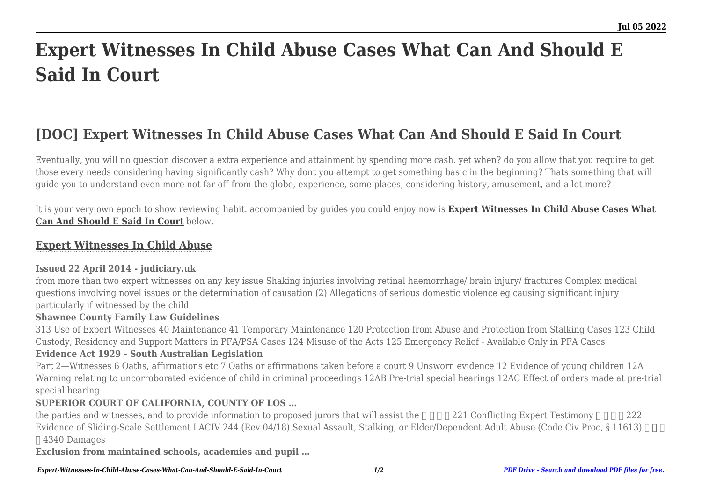# **Expert Witnesses In Child Abuse Cases What Can And Should E Said In Court**

## **[DOC] Expert Witnesses In Child Abuse Cases What Can And Should E Said In Court**

Eventually, you will no question discover a extra experience and attainment by spending more cash. yet when? do you allow that you require to get those every needs considering having significantly cash? Why dont you attempt to get something basic in the beginning? Thats something that will guide you to understand even more not far off from the globe, experience, some places, considering history, amusement, and a lot more?

It is your very own epoch to show reviewing habit. accompanied by guides you could enjoy now is **[Expert Witnesses In Child Abuse Cases What](http://jessicaberan.com) [Can And Should E Said In Court](http://jessicaberan.com)** below.

### **[Expert Witnesses In Child Abuse](http://jessicaberan.com/Expert-Witnesses-In-Child-Abuse-Cases-What-Can-And-Should-E-Said-In-Court.pdf)**

#### **Issued 22 April 2014 - judiciary.uk**

from more than two expert witnesses on any key issue Shaking injuries involving retinal haemorrhage/ brain injury/ fractures Complex medical questions involving novel issues or the determination of causation (2) Allegations of serious domestic violence eg causing significant injury particularly if witnessed by the child

#### **Shawnee County Family Law Guidelines**

313 Use of Expert Witnesses 40 Maintenance 41 Temporary Maintenance 120 Protection from Abuse and Protection from Stalking Cases 123 Child Custody, Residency and Support Matters in PFA/PSA Cases 124 Misuse of the Acts 125 Emergency Relief - Available Only in PFA Cases

#### **Evidence Act 1929 - South Australian Legislation**

Part 2—Witnesses 6 Oaths, affirmations etc 7 Oaths or affirmations taken before a court 9 Unsworn evidence 12 Evidence of young children 12A Warning relating to uncorroborated evidence of child in criminal proceedings 12AB Pre-trial special hearings 12AC Effect of orders made at pre-trial special hearing

#### **SUPERIOR COURT OF CALIFORNIA, COUNTY OF LOS …**

the parties and witnesses, and to provide information to proposed jurors that will assist the ☐ ☐ ☐ ☐ 221 Conflicting Expert Testimony ☐ ☐ ☐ ☐ 222 Evidence of Sliding-Scale Settlement LACIV 244 (Rev 04/18) Sexual Assault, Stalking, or Elder/Dependent Adult Abuse (Code Civ Proc, § 11613) ☐ ☐ ☐ ☐ 4340 Damages

**Exclusion from maintained schools, academies and pupil …**